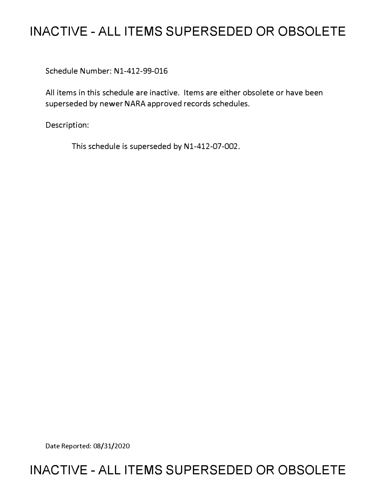# **INACTIVE - ALL ITEMS SUPERSEDED OR OBSOLETE**

Schedule Number: Nl-412-99-016

All items in this schedule are inactive. Items are either obsolete or have been superseded by newer NARA approved records schedules.

Description:

This schedule is superseded by N1-412-07-002.

Date Reported: 08/31/2020

# **INACTIVE - ALL ITEMS SUPERSEDED OR OBSOLETE**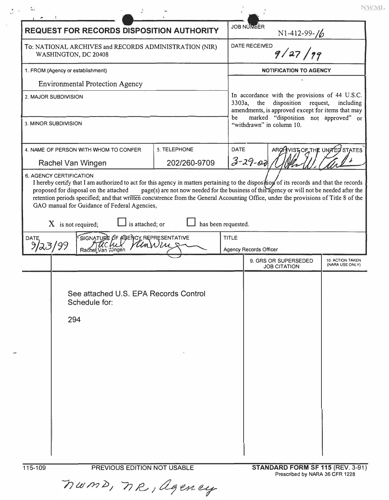|                                                                                                     |                                                                                                                                                                                                                                 | <b>REQUEST FOR RECORDS DISPOSITION AUTHORITY</b>                                                                                                       |                                 | <b>JOB NUMBER</b><br>N1-412-99-16                                       |                                     |
|-----------------------------------------------------------------------------------------------------|---------------------------------------------------------------------------------------------------------------------------------------------------------------------------------------------------------------------------------|--------------------------------------------------------------------------------------------------------------------------------------------------------|---------------------------------|-------------------------------------------------------------------------|-------------------------------------|
| To: NATIONAL ARCHIVES and RECORDS ADMINISTRATION (NIR)<br>WASHINGTON, DC 20408                      |                                                                                                                                                                                                                                 |                                                                                                                                                        | <b>DATE RECEIVED</b><br>9/27/99 |                                                                         |                                     |
| 1. FROM (Agency or establishment)<br><b>Environmental Protection Agency</b><br>2. MAJOR SUBDIVISION |                                                                                                                                                                                                                                 |                                                                                                                                                        | <b>NOTIFICATION TO AGENCY</b>   |                                                                         |                                     |
|                                                                                                     |                                                                                                                                                                                                                                 |                                                                                                                                                        |                                 |                                                                         |                                     |
|                                                                                                     |                                                                                                                                                                                                                                 | In accordance with the provisions of 44 U.S.C.<br>disposition request,<br>3303a, the<br>including<br>amendments, is approved except for items that may |                                 |                                                                         |                                     |
| 3. MINOR SUBDIVISION                                                                                |                                                                                                                                                                                                                                 |                                                                                                                                                        |                                 | marked "disposition not approved" or<br>be<br>"withdrawn" in column 10. |                                     |
|                                                                                                     | 4. NAME OF PERSON WITH WHOM TO CONFER<br>Rachel Van Wingen                                                                                                                                                                      | 5. TELEPHONE<br>202/260-9709                                                                                                                           | <b>DATE</b>                     | ARONISTOFTHE UNITED STATES<br>$3 - 29 - 00$                             |                                     |
|                                                                                                     | retention periods specified; and that written concurrence from the General Accounting Office, under the provisions of Title 8 of the<br>GAO manual for Guidance of Federal Agencies,<br>$X$ is not required;<br>is attached; or | has been requested.                                                                                                                                    | <b>TITLE</b>                    |                                                                         |                                     |
| DATE,<br>9/23/99                                                                                    | SIGNATURE OF AGENCY REPRESENTATIVE<br>VanNing<br>Rachel Van Wingen                                                                                                                                                              |                                                                                                                                                        |                                 | Agency Records Officer                                                  |                                     |
|                                                                                                     |                                                                                                                                                                                                                                 |                                                                                                                                                        |                                 | 9. GRS OR SUPERSEDED<br><b>JOB CITATION</b>                             | 10. ACTION TAKEN<br>(NARA USE ONLY) |
|                                                                                                     | See attached U.S. EPA Records Control<br>Schedule for:<br>294                                                                                                                                                                   |                                                                                                                                                        |                                 |                                                                         |                                     |

 $\mathcal{H}$ 

 $\ensuremath{\text{NWML}}$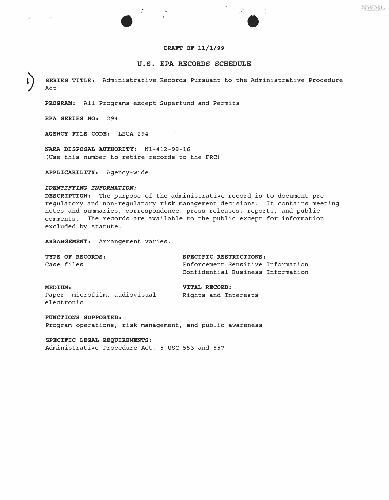## **DRAFT OF 11/1/99**

# **U.S. EPA RECORDS SCHEDULE**

**SERIES TITLE:** Administrative Records Pursuant to the Administrative Procedure Act

**PROGRAM:** All Programs except Superfund and Permits

•

**EPA SERIES NO:** 294

 $\sim 100$ 

×

**AGENCY FILE CODE:** LEGA 294

**NARA DISPOSAL AUTHORITY:** Nl-412-99-16 (Use this number to retire records to the FRC)

**APPLICABILITY:** Agency-wide

#### *IDENTIFYING INFORMATION:*

**DESCRIPTION:** The purpose of the administrative record. is to document preregulatory and non-regulatory risk management decisions. It contains meeting notes and summaries, correspondence, press releases, reports, and public comments. The records are available to the public except for information excluded by statute.

**ARRANGEMENT:** Arrangement varies.

| TYPE OF RECORDS: | SPECIFIC RESTRICTIONS:            |  |  |
|------------------|-----------------------------------|--|--|
| Case files       | Enforcement Sensitive Information |  |  |
|                  | Confidential Business Information |  |  |

Paper, microfilm, audiovisual, electronic

**MEDIUM: VITAL RECORD:**<br>Paper, microfilm, audiovisual, **Wights** and Interests

# **FUNCTIONS SUPPORTED:**

Program operations, risk management, and public awareness

**SPECIFIC LEGAL REQ�IREMENTS:**  Administrative Procedure Act, 5 USC 553 and 557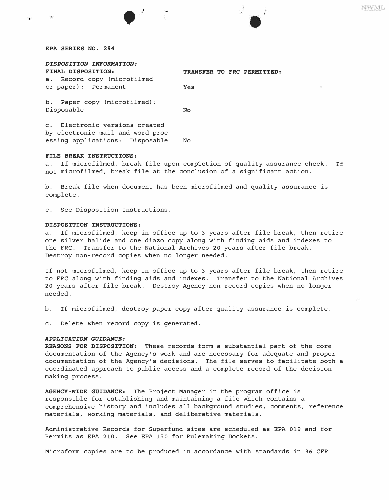### *EPA SERIES NO. 294*

 $\mathcal{L}$ 

 $\tilde{\mathbf{t}}$  .

•

| DISPOSITION INFORMATION:                                                                               |                            |  |
|--------------------------------------------------------------------------------------------------------|----------------------------|--|
| FINAL DISPOSITION:                                                                                     | TRANSFER TO FRC PERMITTED: |  |
| a. Record copy (microfilmed                                                                            |                            |  |
| or paper): Permanent                                                                                   | Yes                        |  |
| b. Paper copy (microfilmed):<br>Disposable                                                             | No                         |  |
| c. Electronic versions created<br>by electronic mail and word proc-<br>essing applications: Disposable | No                         |  |

### *FILE BREAK INSTRUCTIONS:*

a. If microfilmed, break file upon completion of quality assurance check. If not microfilmed, break file at the conclusion of a significant action.

b. Break file when document has been microfilmed and quality assurance is complete.

c. See Disposition Instructions.

#### *DISPOSITION INSTRUCTIONS:*

a. If microfilmed, keep in office up to 3 years after file break, then retire one silver halide and one diazo copy along with finding aids and indexes to the FRC. Transfer to the National Archives 20 years after file break. Destroy non-record copies when no longer needed.

If not microfilmed, keep in office up to 3 years after file break, then retire to FRC along with finding aids and indexes. Transfer to the National Archives 20 years after file break. Destroy Agency non-record copies when no longer needed.

b. If microfilmed, destroy paper copy after quality assurance is complete.

c. Delete when record copy is generated.

# *APPLICATION GUIDANCE:*

*REASONS FOR DISPOSITION:* These records form a substantial part of the core documentation of the Agency's work and are necessary for adequate and proper documentation of the Agency's decisions. The file serves to facilitate both a coordinated approach to public access and a complete record of the decisionmaking process.

*AGENCY-WIDE GUIDANCE:* The Project Manager in the program office is responsible for establishing and maintaining a file which contains a comprehensive history and includes all background studies, comments, reference materials, working materials, and deliberative materials.

Administrative Records for Superfund sites are scheduled as EPA 019 and for Permits as EPA 210. See EPA 150 for Rulemaking Dockets.

Microform copies are to be produced in accordance with standards in 36 CFR